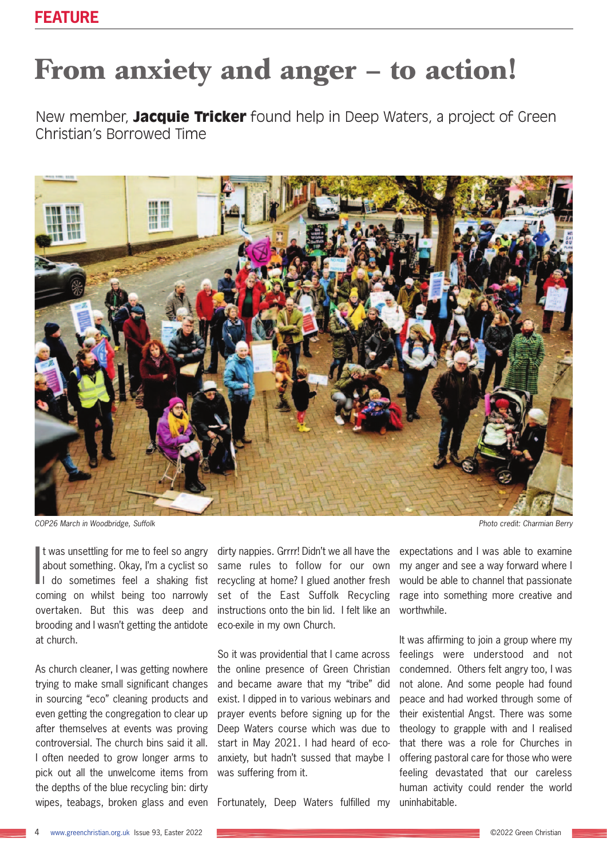## **From anxiety and anger – to action!**

New member, **Jacquie Tricker** found help in Deep Waters, a project of Green Christian's Borrowed Time



*COP26 March in Woodbridge, Suffolk Photo credit: Charmian Berry*

It was unsettling for me to feel so angry<br>about something. Okay, I'm a cyclist so<br>I do sometimes feel a shaking fist It was unsettling for me to feel so angry about something. Okay, I'm a cyclist so coming on whilst being too narrowly overtaken. But this was deep and brooding and I wasn't getting the antidote at church.

As church cleaner, I was getting nowhere trying to make small significant changes in sourcing "eco" cleaning products and even getting the congregation to clear up after themselves at events was proving controversial. The church bins said it all. I often needed to grow longer arms to pick out all the unwelcome items from the depths of the blue recycling bin: dirty wipes, teabags, broken glass and even dirty nappies. Grrrr! Didn't we all have the same rules to follow for our own recycling at home? I glued another fresh set of the East Suffolk Recycling instructions onto the bin lid. I felt like an eco-exile in my own Church.

So it was providential that I came across the online presence of Green Christian and became aware that my "tribe" did exist. I dipped in to various webinars and prayer events before signing up for the Deep Waters course which was due to start in May 2021. I had heard of ecoanxiety, but hadn't sussed that maybe I was suffering from it.

Fortunately, Deep Waters fulfilled my

expectations and I was able to examine my anger and see a way forward where I would be able to channel that passionate rage into something more creative and worthwhile.

It was affirming to join a group where my feelings were understood and not condemned. Others felt angry too, I was not alone. And some people had found peace and had worked through some of their existential Angst. There was some theology to grapple with and I realised that there was a role for Churches in offering pastoral care for those who were feeling devastated that our careless human activity could render the world uninhabitable.